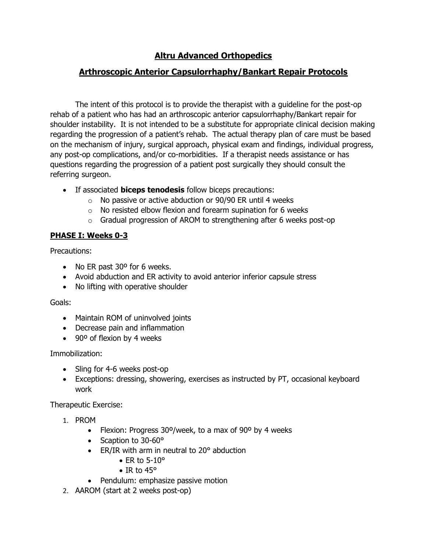# **Altru Advanced Orthopedics**

# **Arthroscopic Anterior Capsulorrhaphy/Bankart Repair Protocols**

The intent of this protocol is to provide the therapist with a guideline for the post-op rehab of a patient who has had an arthroscopic anterior capsulorrhaphy/Bankart repair for shoulder instability. It is not intended to be a substitute for appropriate clinical decision making regarding the progression of a patient's rehab. The actual therapy plan of care must be based on the mechanism of injury, surgical approach, physical exam and findings, individual progress, any post-op complications, and/or co-morbidities. If a therapist needs assistance or has questions regarding the progression of a patient post surgically they should consult the referring surgeon.

- If associated **biceps tenodesis** follow biceps precautions:
	- $\circ$  No passive or active abduction or 90/90 ER until 4 weeks
	- $\circ$  No resisted elbow flexion and forearm supination for 6 weeks
	- $\circ$  Gradual progression of AROM to strengthening after 6 weeks post-op

# **PHASE I: Weeks 0-3**

Precautions:

- No ER past 30° for 6 weeks.
- Avoid abduction and ER activity to avoid anterior inferior capsule stress
- No lifting with operative shoulder

Goals:

- Maintain ROM of uninvolved joints
- Decrease pain and inflammation
- 90° of flexion by 4 weeks

Immobilization:

- Sling for 4-6 weeks post-op
- Exceptions: dressing, showering, exercises as instructed by PT, occasional keyboard work

- 1. PROM
	- Flexion: Progress 30º/week, to a max of 90º by 4 weeks
	- Scaption to 30-60°
	- ER/IR with arm in neutral to 20° abduction
		- ER to  $5-10^\circ$
		- IR to 45°
	- Pendulum: emphasize passive motion
- 2. AAROM (start at 2 weeks post-op)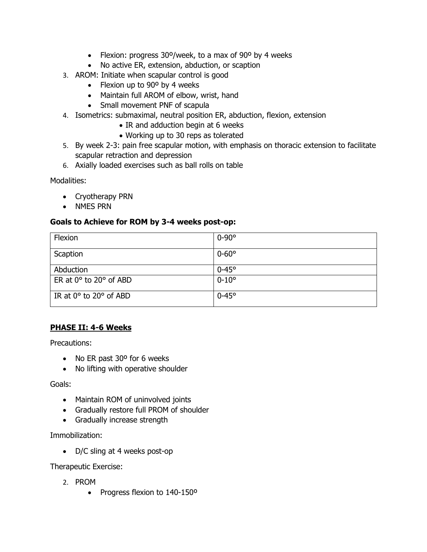- Flexion: progress 30º/week, to a max of 90º by 4 weeks
- No active ER, extension, abduction, or scaption
- 3. AROM: Initiate when scapular control is good
	- Flexion up to 90° by 4 weeks
	- Maintain full AROM of elbow, wrist, hand
	- Small movement PNF of scapula
- 4. Isometrics: submaximal, neutral position ER, abduction, flexion, extension
	- IR and adduction begin at 6 weeks
	- Working up to 30 reps as tolerated
- 5. By week 2-3: pain free scapular motion, with emphasis on thoracic extension to facilitate scapular retraction and depression
- 6. Axially loaded exercises such as ball rolls on table

Modalities:

- Cryotherapy PRN
- NMES PRN

#### **Goals to Achieve for ROM by 3-4 weeks post-op:**

| Flexion                              | $0-90^\circ$     |
|--------------------------------------|------------------|
| Scaption                             | $0 - 60^{\circ}$ |
| Abduction                            | $0-45^\circ$     |
| ER at $0^\circ$ to $20^\circ$ of ABD | $0 - 10^{\circ}$ |
| IR at $0^\circ$ to $20^\circ$ of ABD | $0-45^\circ$     |

## **PHASE II: 4-6 Weeks**

Precautions:

- No ER past 30° for 6 weeks
- No lifting with operative shoulder

Goals:

- Maintain ROM of uninvolved joints
- Gradually restore full PROM of shoulder
- Gradually increase strength

Immobilization:

• D/C sling at 4 weeks post-op

- 2. PROM
	- Progress flexion to 140-150º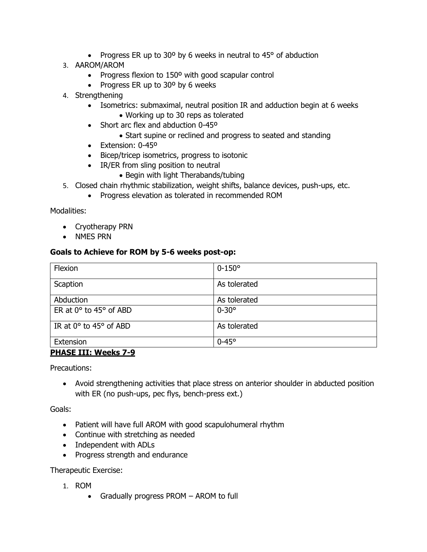- Progress ER up to 30° by 6 weeks in neutral to 45° of abduction
- 3. AAROM/AROM
	- Progress flexion to 150º with good scapular control
	- Progress ER up to 30° by 6 weeks
- 4. Strengthening
	- Isometrics: submaximal, neutral position IR and adduction begin at 6 weeks • Working up to 30 reps as tolerated
	- Short arc flex and abduction 0-45°
		- Start supine or reclined and progress to seated and standing
	- Extension: 0-45º
	- Bicep/tricep isometrics, progress to isotonic
	- IR/ER from sling position to neutral
		- Begin with light Therabands/tubing
- 5. Closed chain rhythmic stabilization, weight shifts, balance devices, push-ups, etc.
	- Progress elevation as tolerated in recommended ROM

Modalities:

- Cryotherapy PRN
- NMES PRN

#### **Goals to Achieve for ROM by 5-6 weeks post-op:**

| Flexion                               | $0 - 150^{\circ}$ |
|---------------------------------------|-------------------|
| Scaption                              | As tolerated      |
| Abduction                             | As tolerated      |
| ER at $0^\circ$ to 45 $^\circ$ of ABD | $0 - 30^{\circ}$  |
| IR at $0^{\circ}$ to 45° of ABD       | As tolerated      |
| Extension                             | $0-45^\circ$      |

#### **PHASE III: Weeks 7-9**

Precautions:

• Avoid strengthening activities that place stress on anterior shoulder in abducted position with ER (no push-ups, pec flys, bench-press ext.)

Goals:

- Patient will have full AROM with good scapulohumeral rhythm
- Continue with stretching as needed
- Independent with ADLs
- Progress strength and endurance

- 1. ROM
	- Gradually progress PROM AROM to full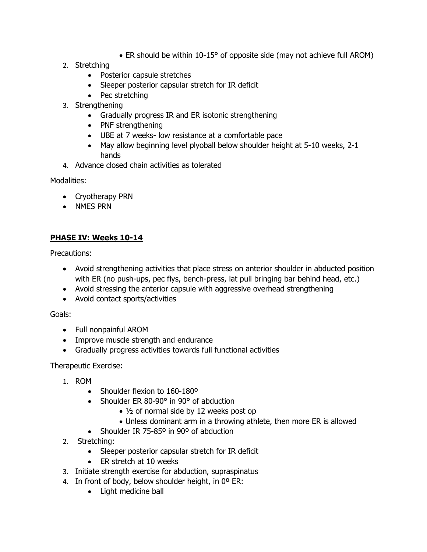- ER should be within 10-15° of opposite side (may not achieve full AROM)
- 2. Stretching
	- Posterior capsule stretches
	- Sleeper posterior capsular stretch for IR deficit
	- Pec stretching
- 3. Strengthening
	- Gradually progress IR and ER isotonic strengthening
	- PNF strengthening
	- UBE at 7 weeks- low resistance at a comfortable pace
	- May allow beginning level plyoball below shoulder height at 5-10 weeks, 2-1 hands
- 4. Advance closed chain activities as tolerated

Modalities:

- Cryotherapy PRN
- NMES PRN

## **PHASE IV: Weeks 10-14**

Precautions:

- Avoid strengthening activities that place stress on anterior shoulder in abducted position with ER (no push-ups, pec flys, bench-press, lat pull bringing bar behind head, etc.)
- Avoid stressing the anterior capsule with aggressive overhead strengthening
- Avoid contact sports/activities

Goals:

- Full nonpainful AROM
- Improve muscle strength and endurance
- Gradually progress activities towards full functional activities

- 1. ROM
	- Shoulder flexion to 160-180°
	- Shoulder ER 80-90° in 90° of abduction
		- ½ of normal side by 12 weeks post op
		- Unless dominant arm in a throwing athlete, then more ER is allowed
	- Shoulder IR 75-85° in 90° of abduction
- 2. Stretching:
	- Sleeper posterior capsular stretch for IR deficit
	- ER stretch at 10 weeks
- 3. Initiate strength exercise for abduction, supraspinatus
- 4. In front of body, below shoulder height, in 0º ER:
	- Light medicine ball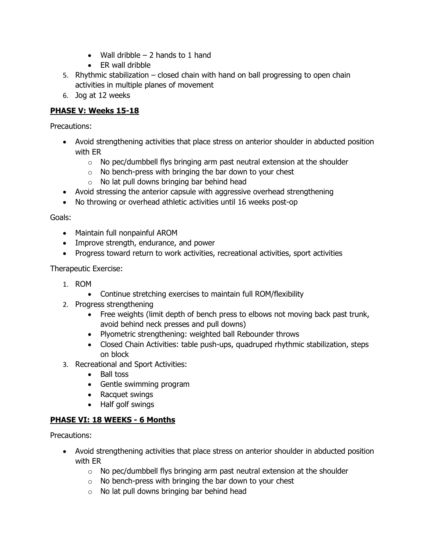- Wall dribble  $-2$  hands to 1 hand
- ER wall dribble
- 5. Rhythmic stabilization closed chain with hand on ball progressing to open chain activities in multiple planes of movement
- 6. Jog at 12 weeks

# **PHASE V: Weeks 15-18**

Precautions:

- Avoid strengthening activities that place stress on anterior shoulder in abducted position with ER
	- $\circ$  No pec/dumbbell flys bringing arm past neutral extension at the shoulder
	- $\circ$  No bench-press with bringing the bar down to your chest
	- $\circ$  No lat pull downs bringing bar behind head
- Avoid stressing the anterior capsule with aggressive overhead strengthening
- No throwing or overhead athletic activities until 16 weeks post-op

#### Goals:

- Maintain full nonpainful AROM
- Improve strength, endurance, and power
- Progress toward return to work activities, recreational activities, sport activities

#### Therapeutic Exercise:

- 1. ROM
	- Continue stretching exercises to maintain full ROM/flexibility
- 2. Progress strengthening
	- Free weights (limit depth of bench press to elbows not moving back past trunk, avoid behind neck presses and pull downs)
	- Plyometric strengthening: weighted ball Rebounder throws
	- Closed Chain Activities: table push-ups, quadruped rhythmic stabilization, steps on block
- 3. Recreational and Sport Activities:
	- Ball toss
	- Gentle swimming program
	- Racquet swings
	- Half golf swings

## **PHASE VI: 18 WEEKS - 6 Months**

Precautions:

- Avoid strengthening activities that place stress on anterior shoulder in abducted position with ER
	- $\circ$  No pec/dumbbell flys bringing arm past neutral extension at the shoulder
	- $\circ$  No bench-press with bringing the bar down to your chest
	- $\circ$  No lat pull downs bringing bar behind head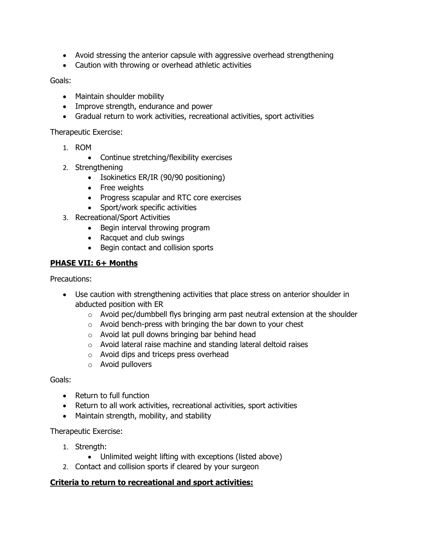- Avoid stressing the anterior capsule with aggressive overhead strengthening
- Caution with throwing or overhead athletic activities

#### Goals:

- Maintain shoulder mobility
- Improve strength, endurance and power
- Gradual return to work activities, recreational activities, sport activities

Therapeutic Exercise:

- 1. ROM
	- Continue stretching/flexibility exercises
- 2. Strengthening
	- Isokinetics ER/IR (90/90 positioning)
	- Free weights
	- Progress scapular and RTC core exercises
	- Sport/work specific activities
- 3. Recreational/Sport Activities
	- Begin interval throwing program
	- Racquet and club swings
	- Begin contact and collision sports

### **PHASE VII: 6+ Months**

Precautions:

- Use caution with strengthening activities that place stress on anterior shoulder in abducted position with ER
	- $\circ$  Avoid pec/dumbbell flys bringing arm past neutral extension at the shoulder
	- $\circ$  Avoid bench-press with bringing the bar down to your chest
	- o Avoid lat pull downs bringing bar behind head
	- o Avoid lateral raise machine and standing lateral deltoid raises
	- o Avoid dips and triceps press overhead
	- $\circ$  Avoid pullovers

Goals:

- Return to full function
- Return to all work activities, recreational activities, sport activities
- Maintain strength, mobility, and stability

Therapeutic Exercise:

- 1. Strength:
	- Unlimited weight lifting with exceptions (listed above)
- 2. Contact and collision sports if cleared by your surgeon

#### **Criteria to return to recreational and sport activities:**